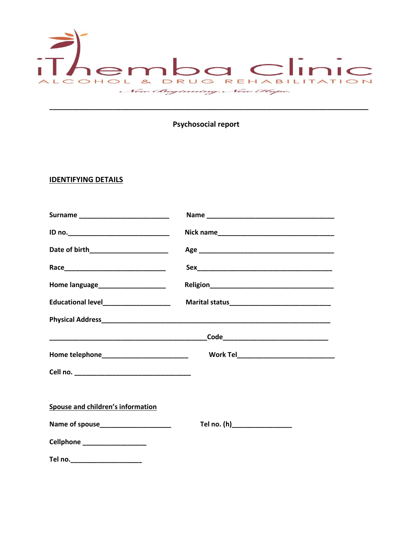

# Psychosocial report

# **IDENTIFYING DETAILS**

| Home language________________________    |                              |  |  |  |  |
|------------------------------------------|------------------------------|--|--|--|--|
| Educational level_____________________   |                              |  |  |  |  |
|                                          |                              |  |  |  |  |
|                                          |                              |  |  |  |  |
|                                          |                              |  |  |  |  |
|                                          |                              |  |  |  |  |
|                                          |                              |  |  |  |  |
| <b>Spouse and children's information</b> |                              |  |  |  |  |
|                                          | Tel no. (h)_________________ |  |  |  |  |
| Cellphone ___________________            |                              |  |  |  |  |
|                                          |                              |  |  |  |  |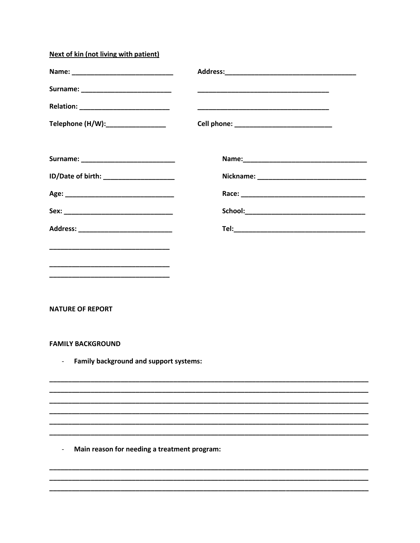| Next of kin (not living with patient)        |                                                                                                                       |  |  |
|----------------------------------------------|-----------------------------------------------------------------------------------------------------------------------|--|--|
|                                              |                                                                                                                       |  |  |
|                                              | <u> 1989 - Johann John Stoff, deutscher Stoffen und der Stoffen und der Stoffen und der Stoffen und der Stoffen u</u> |  |  |
|                                              |                                                                                                                       |  |  |
| Telephone (H/W):_________________            |                                                                                                                       |  |  |
|                                              |                                                                                                                       |  |  |
| ID/Date of birth: _______________________    |                                                                                                                       |  |  |
|                                              |                                                                                                                       |  |  |
|                                              |                                                                                                                       |  |  |
| Address: ________________________________    |                                                                                                                       |  |  |
|                                              |                                                                                                                       |  |  |
|                                              |                                                                                                                       |  |  |
|                                              |                                                                                                                       |  |  |
|                                              |                                                                                                                       |  |  |
| <b>NATURE OF REPORT</b>                      |                                                                                                                       |  |  |
|                                              |                                                                                                                       |  |  |
| <b>FAMILY BACKGROUND</b>                     |                                                                                                                       |  |  |
| Family background and support systems:       |                                                                                                                       |  |  |
|                                              |                                                                                                                       |  |  |
|                                              |                                                                                                                       |  |  |
|                                              |                                                                                                                       |  |  |
|                                              |                                                                                                                       |  |  |
| Main reason for needing a treatment program: |                                                                                                                       |  |  |
|                                              |                                                                                                                       |  |  |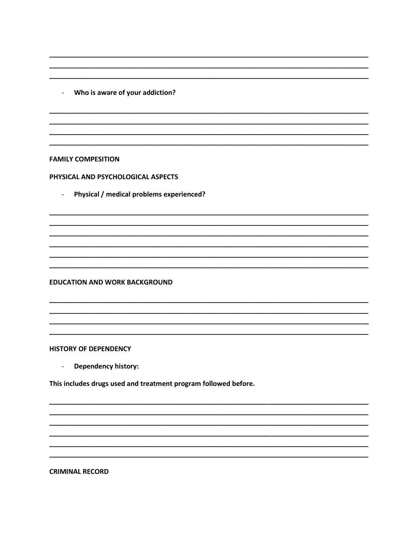- Who is aware of your addiction?

**FAMILY COMPESITION** 

PHYSICAL AND PSYCHOLOGICAL ASPECTS

Physical / medical problems experienced?  $\omega_{\rm{max}}$ 

**EDUCATION AND WORK BACKGROUND** 

### **HISTORY OF DEPENDENCY**

Dependency history:  $\omega_{\rm{eff}}$ 

This includes drugs used and treatment program followed before.

**CRIMINAL RECORD**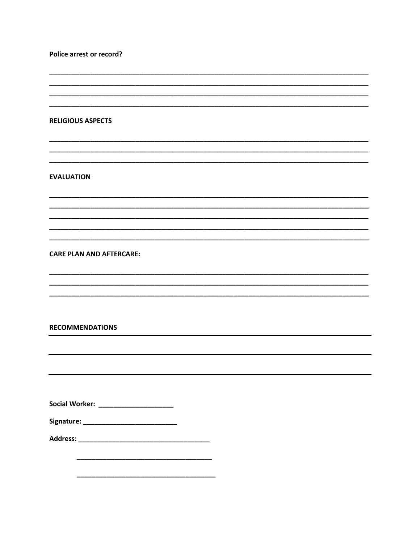**Police arrest or record?** 

,我们也不能在这里的时候,我们也不能在这里的时候,我们也不能会在这里,我们也不能会在这里的时候,我们也不能会在这里的时候,我们也不能会在这里的时候,我们也不能会

#### **RELIGIOUS ASPECTS**

**EVALUATION** 

## **CARE PLAN AND AFTERCARE:**

### **RECOMMENDATIONS**

| <b>Social Worker:</b> |  |  |  |  |  |
|-----------------------|--|--|--|--|--|
|                       |  |  |  |  |  |

| Signature: |  |
|------------|--|
|            |  |
|            |  |